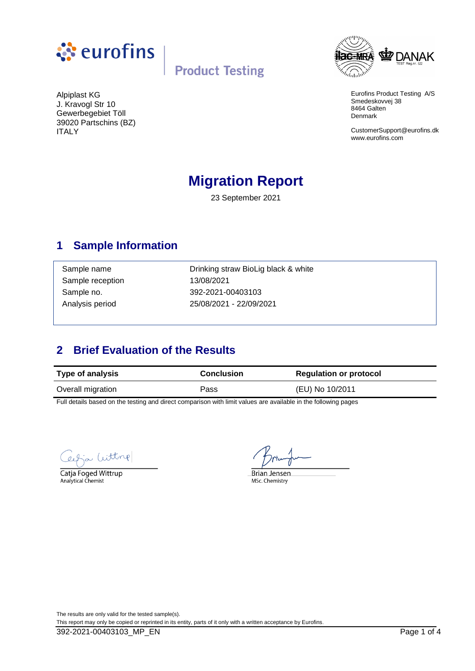



Eurofins Product Testing A/S Smedeskovvej 38 8464 Galten Denmark

CustomerSupport@eurofins.dk www.eurofins.com

Alpiplast KG J. Kravogl Str 10 Gewerbegebiet Töll 39020 Partschins (BZ) ITALY

# **Migration Report**

23 September 2021

### **1 Sample Information**

Sample reception 13/08/2021

Sample name **Drinking straw BioLig black & white** Sample no. 392-2021-00403103 Analysis period 25/08/2021 - 22/09/2021

## **2 Brief Evaluation of the Results**

| <b>Type of analysis</b> | <b>Conclusion</b> | <b>Regulation or protocol</b> |  |
|-------------------------|-------------------|-------------------------------|--|
| Overall migration       | Pass              | (EU) No 10/2011               |  |

Full details based on the testing and direct comparison with limit values are available in the following pages

Witting

Catja Foged Wittrup Analytical Chemist

**Brian Jensen** MSc. Chemistry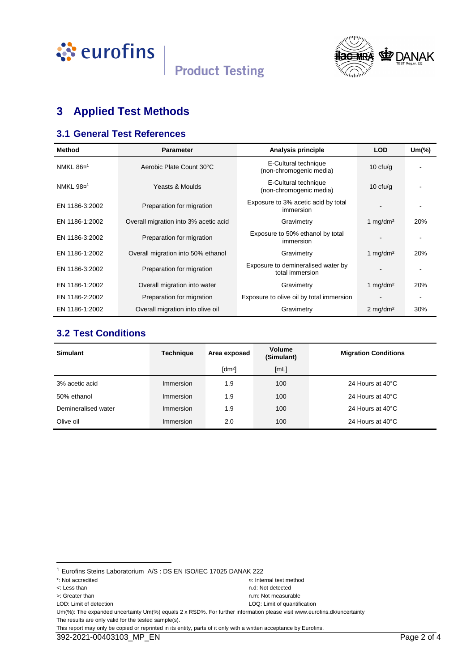



# **3 Applied Test Methods**

#### **3.1 General Test References**

| <b>Method</b>         | <b>Parameter</b>                      | Analysis principle                                    | <b>LOD</b>             | $Um$ $\%$ |
|-----------------------|---------------------------------------|-------------------------------------------------------|------------------------|-----------|
| NMKL 86¤ <sup>1</sup> | Aerobic Plate Count 30°C              | E-Cultural technique<br>(non-chromogenic media)       | 10 $ctu/g$             |           |
| NMKL 98¤ <sup>1</sup> | Yeasts & Moulds                       | E-Cultural technique<br>(non-chromogenic media)       | 10 $ctu/g$             |           |
| EN 1186-3:2002        | Preparation for migration             | Exposure to 3% acetic acid by total<br>immersion      |                        |           |
| EN 1186-1:2002        | Overall migration into 3% acetic acid | Gravimetry                                            | 1 $mq/dm^2$            | 20%       |
| EN 1186-3:2002        | Preparation for migration             | Exposure to 50% ethanol by total<br>immersion         |                        |           |
| EN 1186-1:2002        | Overall migration into 50% ethanol    | Gravimetry                                            | 1 mg/dm <sup>2</sup>   | 20%       |
| EN 1186-3:2002        | Preparation for migration             | Exposure to demineralised water by<br>total immersion |                        |           |
| EN 1186-1:2002        | Overall migration into water          | Gravimetry                                            | 1 mg/dm <sup>2</sup>   | 20%       |
| EN 1186-2:2002        | Preparation for migration             | Exposure to olive oil by total immersion              |                        |           |
| EN 1186-1:2002        | Overall migration into olive oil      | Gravimetry                                            | $2$ mg/dm <sup>2</sup> | 30%       |

#### **3.2 Test Conditions**

| <b>Simulant</b>     | <b>Technique</b> | Area exposed         | <b>Volume</b><br>(Simulant) | <b>Migration Conditions</b> |
|---------------------|------------------|----------------------|-----------------------------|-----------------------------|
|                     |                  | $\lceil dm^2 \rceil$ | [ML]                        |                             |
| 3% acetic acid      | Immersion        | 1.9                  | 100                         | 24 Hours at 40°C            |
| 50% ethanol         | Immersion        | 1.9                  | 100                         | 24 Hours at 40°C            |
| Demineralised water | Immersion        | 1.9                  | 100                         | 24 Hours at 40°C            |
| Olive oil           | Immersion        | 2.0                  | 100                         | 24 Hours at 40°C            |

l

- 
- LOD: Limit of detection LOQ: Limit of quantification
- <: Less than n.d: Not detected >: Greater than n.m: Not measurable

<sup>1</sup> Eurofins Steins Laboratorium A/S : DS EN ISO/IEC 17025 DANAK 222

<sup>\*:</sup> Not accredited ¤: Internal test method

Um(%): The expanded uncertainty Um(%) equals 2 x RSD%. For further information please visit www.eurofins.dk/uncertainty The results are only valid for the tested sample(s).

This report may only be copied or reprinted in its entity, parts of it only with a written acceptance by Eurofins.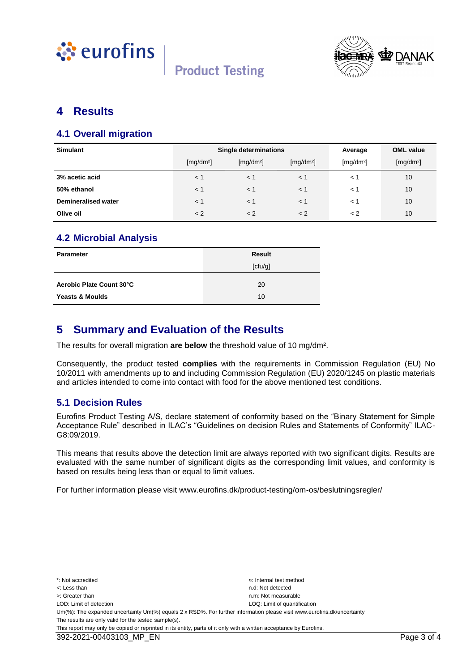



#### **4 Results**

#### **4.1 Overall migration**

| <b>Simulant</b>            | Single determinations |                       |                       | Average               | <b>OML</b> value      |
|----------------------------|-----------------------|-----------------------|-----------------------|-----------------------|-----------------------|
|                            | [mg/dm <sup>2</sup> ] | [mg/dm <sup>2</sup> ] | [mg/dm <sup>2</sup> ] | [mg/dm <sup>2</sup> ] | [mg/dm <sup>2</sup> ] |
| 3% acetic acid             | $\leq 1$              | < 1                   | < 1                   | $\lt$ 1               | 10                    |
| 50% ethanol                | $<$ 1                 | < 1                   | $<$ 1                 | $\lt$ 1               | 10                    |
| <b>Demineralised water</b> | $<$ 1                 | < 1                   | $<$ 1                 | $\lt$ 1               | 10                    |
| Olive oil                  | < 2                   | < 2                   | < 2                   | $\lt 2$               | 10                    |

#### **4.2 Microbial Analysis**

| Parameter                  | <b>Result</b> |
|----------------------------|---------------|
|                            | [ctu/g]       |
| Aerobic Plate Count 30°C   | 20            |
| <b>Yeasts &amp; Moulds</b> | 10            |

#### **5 Summary and Evaluation of the Results**

The results for overall migration **are below** the threshold value of 10 mg/dm².

Consequently, the product tested **complies** with the requirements in Commission Regulation (EU) No 10/2011 with amendments up to and including Commission Regulation (EU) 2020/1245 on plastic materials and articles intended to come into contact with food for the above mentioned test conditions.

#### **5.1 Decision Rules**

Eurofins Product Testing A/S, declare statement of conformity based on the "Binary Statement for Simple Acceptance Rule" described in ILAC's "Guidelines on decision Rules and Statements of Conformity" ILAC-G8:09/2019.

This means that results above the detection limit are always reported with two significant digits. Results are evaluated with the same number of significant digits as the corresponding limit values, and conformity is based on results being less than or equal to limit values.

For further information please visit www.eurofins.dk/product-testing/om-os/beslutningsregler/

\*: Not accredited ¤: Internal test method <: Less than n.d: Not detected >: Greater than next measurable than  $n \times 1$  is the measurable measurable n.m: Not measurable LOD: Limit of detection LOD: Limit of detection LOD: Limit of quantification Um(%): The expanded uncertainty Um(%) equals 2 x RSD%. For further information please visit www.eurofins.dk/uncertainty The results are only valid for the tested sample(s). This report may only be copied or reprinted in its entity, parts of it only with a written acceptance by Eurofins.